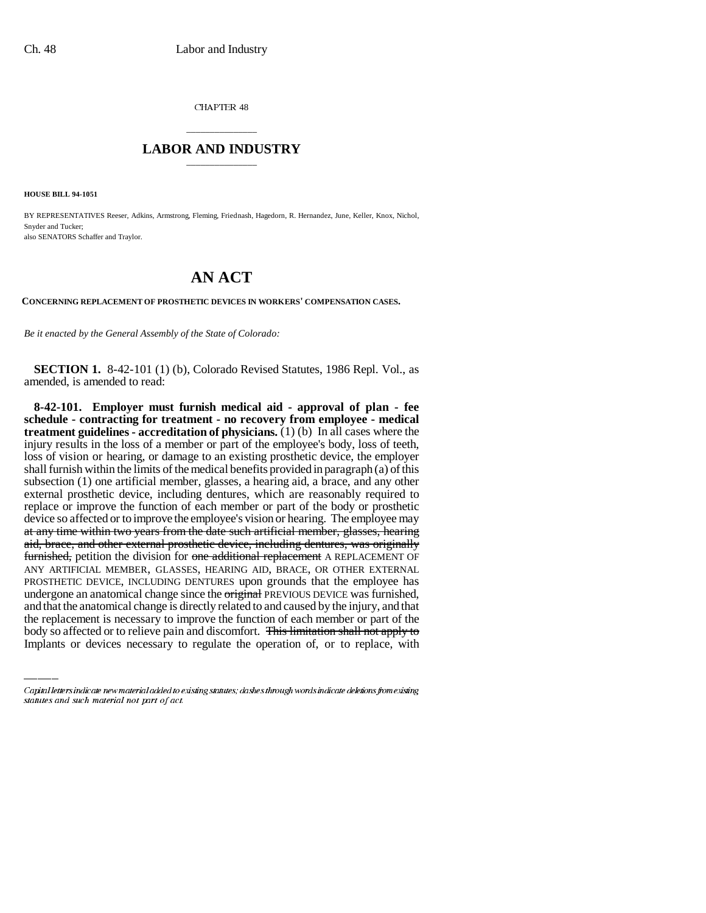CHAPTER 48

## \_\_\_\_\_\_\_\_\_\_\_\_\_\_\_ **LABOR AND INDUSTRY** \_\_\_\_\_\_\_\_\_\_\_\_\_\_\_

**HOUSE BILL 94-1051**

BY REPRESENTATIVES Reeser, Adkins, Armstrong, Fleming, Friednash, Hagedorn, R. Hernandez, June, Keller, Knox, Nichol, Snyder and Tucker; also SENATORS Schaffer and Traylor.

## **AN ACT**

**CONCERNING REPLACEMENT OF PROSTHETIC DEVICES IN WORKERS' COMPENSATION CASES.**

*Be it enacted by the General Assembly of the State of Colorado:*

**SECTION 1.** 8-42-101 (1) (b), Colorado Revised Statutes, 1986 Repl. Vol., as amended, is amended to read:

undergone an anatomical change since the original PREVIOUS DEVICE was furnished, **8-42-101. Employer must furnish medical aid - approval of plan - fee schedule - contracting for treatment - no recovery from employee - medical treatment guidelines - accreditation of physicians.** (1) (b) In all cases where the injury results in the loss of a member or part of the employee's body, loss of teeth, loss of vision or hearing, or damage to an existing prosthetic device, the employer shall furnish within the limits of the medical benefits provided in paragraph (a) of this subsection (1) one artificial member, glasses, a hearing aid, a brace, and any other external prosthetic device, including dentures, which are reasonably required to replace or improve the function of each member or part of the body or prosthetic device so affected or to improve the employee's vision or hearing. The employee may at any time within two years from the date such artificial member, glasses, hearing aid, brace, and other external prosthetic device, including dentures, was originally furnished, petition the division for one additional replacement A REPLACEMENT OF ANY ARTIFICIAL MEMBER, GLASSES, HEARING AID, BRACE, OR OTHER EXTERNAL PROSTHETIC DEVICE, INCLUDING DENTURES upon grounds that the employee has and that the anatomical change is directly related to and caused by the injury, and that the replacement is necessary to improve the function of each member or part of the body so affected or to relieve pain and discomfort. This limitation shall not apply to Implants or devices necessary to regulate the operation of, or to replace, with

Capital letters indicate new material added to existing statutes; dashes through words indicate deletions from existing statutes and such material not part of act.